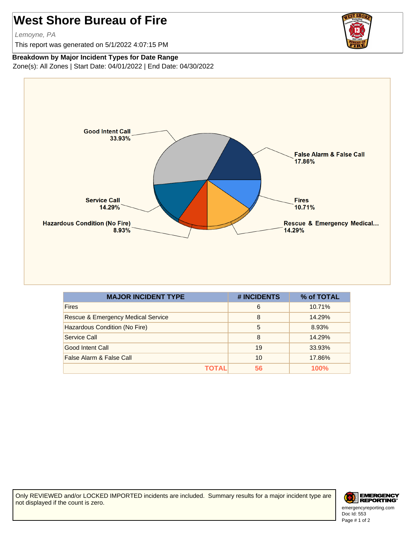## **West Shore Bureau of Fire**

Lemoyne, PA

This report was generated on 5/1/2022 4:07:15 PM



## **Breakdown by Major Incident Types for Date Range**

Zone(s): All Zones | Start Date: 04/01/2022 | End Date: 04/30/2022



| <b>MAJOR INCIDENT TYPE</b>                    | # INCIDENTS | % of TOTAL |
|-----------------------------------------------|-------------|------------|
| <b>Fires</b>                                  | 6           | 10.71%     |
| <b>Rescue &amp; Emergency Medical Service</b> | 8           | 14.29%     |
| Hazardous Condition (No Fire)                 | 5           | 8.93%      |
| Service Call                                  | 8           | 14.29%     |
| Good Intent Call                              | 19          | 33.93%     |
| False Alarm & False Call                      | 10          | 17.86%     |
| TOTAL                                         | 56          | 100%       |

Only REVIEWED and/or LOCKED IMPORTED incidents are included. Summary results for a major incident type are not displayed if the count is zero.



Doc Id: 553 emergencyreporting.com Page # 1 of 2